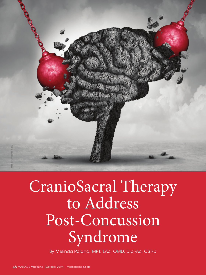

# CranioSacral Therapy to Address Post-Concussion Syndrome

By Melinda Roland, MPT, LAc, OMD, Dipl-Ac, CST-D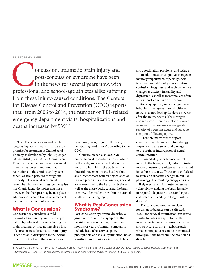#### **TIME TO READ: 15 MIN.**

oncussion, traumatic brain injury and post-concussion syndrome have been in the news for several years now, with professional and school-age athletes alike suffering post-concussion syndrome have been in the news for several years now, with from these injury-caused conditions. The Centers for Disease Control and Prevention (CDC) reports that "from 2006 to 2014, the number of TBI-related emergency department visits, hospitalizations and deaths increased by 53%."

The effects are serious and can be long-lasting. One therapy that has shown promise for treatment is CranioSacral Therapy as developed by John Upledger, DOO, OMM (1932–2012). CranioSacral Therapy is a gentle, noninvasive manual therapy that detects and modifies restrictions in the craniosacral system as well as strain patterns throughout the body. Of course, it is essential to remember that neither massage therapists nor CranioSacral therapists diagnose; however, the therapist may be in a place to address such a condition if on a medical team or the recipient of a referral.

#### **What is Concussion?**

Concussion is considered a mild traumatic brain injury, and is a complex pathophysiological process affecting the brain that may or may not involve a loss of consciousness. Traumatic brain injury is defined as "a disruption in the normal function of the brain that can be caused

by a bump, blow, or jolt to the head, or penetrating head injury," according to the CDC.

Concussion can also occur via biomechanical forces taken in elsewhere in the body, such as a hard fall on the sacrum, a hard hit to the body, or the forceful movement of the head without any direct contact with an object, such as in a whiplash injury. The forces generated are transmitted to the head and brain as well as the entire body, causing the brain to move, often violently, within the cranial vault, with ensuing injury.

#### **What is Post-Concussion Syndrome?**

Post-concussion syndrome describes a group of three or more symptoms that persist after a concussion, sometimes for months or years. Common complaints include headache, cervical pain, photophobia and visual dysfunction, noise sensitivity and tinnitus, dizziness, balance

and coordination problems, and fatigue.

In addition, such cognitive changes as memory impairment, especially shortterm memory, difficulty concentrating, confusion, fogginess, and such behavioral changes as anxiety, irritability and depression, as well as insomnia, are often seen in post-concussion syndrome.

Some symptoms, such as cognitive and behavioral changes and sensitivities to noise, may not develop for days or weeks after the injury occurs. The strongest and most consistent predictor of slower recovery from concussion was greater severity of a person's acute and subacute symptoms following injury.<sup>1</sup>

There are many causes of postconcussion syndrome symptomatology. Impact can cause structural damage to the brain or interruption of neural communication.

"Immediately after biomechanical injury to the brain, abrupt, indiscriminate release of neurotransmitters and unchecked ionic fluxes occur … These ionic shifts lead to acute and subacute changes in cellular physiology. The resulting energy crisis is a likely mechanism for post-concussive vulnerability, making the brain less able to respond adequately to a second injury and potentially leading to longer-lasting deficits."<sup>2</sup>

Delicate structures responsible for vision or balance can be affected. Resultant cervical dysfunction can create similar long-lasting symptoms. The interconnectedness of connective tissue and structure forms a matrix through which strain patterns can be transmitted throughout the body and the brain in all directions.

<sup>1.</sup> Iverson GL, Gardner AJ, Terry DP, et al. "Predictors of clinical recovery from concussion: a systematic review." *British Journal of Sports Medicine.* 2017; 51:941-948 2. Christopher, C, Hovda, D. "The neurometabolic cascade of concussion," *Journal of Athletic Training.* 2001; Vol 36(3)Jul-Sept.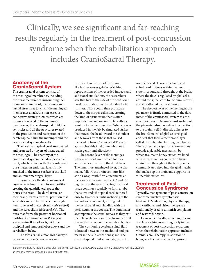Clinically, we see significant and far-reaching results regularly in the treatment of post-concussion syndrome when the rehabilitation approach includes CranioSacral Therapy.

### **Anatomy of the CranioSacral System**

The craniosacral system consists of the meningeal membranes, including the dural membranes surrounding the brain and spinal cord, the osseous and fascial structures to which the meningeal membranes attach, the non-osseous connective tissue structures which are intimately related to the meningeal membranes, the cerebrospinal fluid, the ventricles and all the structures related to the production and resorption of the cerebrospinal fluid, the meninges and the craniosacral system glia cells.

The brain and spinal cord are covered and protected by layers of tissue called the meninges. The anatomy of the craniosacral system includes the cranial vault, which is lined with the two-layered dura mater, an endosteal layer firmly attached to the inner surface of the skull and an inner meningeal layer.

In some areas, the dural meningeal layer reflects inward and forms partitions, creating the quadrilateral space that houses the brain. The dural tissue, or membrane, forms a vertical partition that separates and contains the left and right hemispheres of the cerebrum (*falx cerebri*) and the cerebellum (*falx cerebelli*). The dura that forms the posterior horizontal partition (*tentorium cerebelli*) acts as a mezzanine floor of sorts, with the occipital and temporal lobes above and the cerebellum below.

"The falx sits like a mohawk hairstyle between the brain's two halves and

is stiffer than the rest of the brain, like leather versus gelatin. Watching reproductions of the recorded impacts and additional simulations, the researchers saw that hits to the side of the head could produce vibrations in the falx, due to its stiffness. Those could then propagate down to the corpus callosum, creating the kind of tissue strain that is often implicated in concussion."3 The authors went on to further describe C-shape waves produced in the falx by simulated strikes that moved the head toward the shoulder and S-waves from those that caused the head to turn. CranioSacral Therapy approaches this kind of membranous strain gently and effectively.

The second layer of the meninges is the arachnoid layer, which follows and attaches directly to the dural layer. The innermost meningeal layer, the pia mater, follows the brain contours like shrink wrap. With firm attachments at the foramen magnum and at C2 and C3 segments of the cervical spine, the dural tissue continues caudally to form a tube that surrounds the spinal cord, tethered only by ligaments, until anchoring at the second sacral segment, exiting out of the sacral canal and blending with the periosteum of the coccyx. The dura mater accompanies the spinal nerves as they exit the intervertebral foramina, forming dural sleeves that attach on the vertebral bodies.

The cushioning cerebral spinal fluid is located between the arachnoid and pia mater in the sub-arachnoid space. The cerebral spinal fluid surrounds, protects,

nourishes and cleanses the brain and spinal cord. It flows within the dural system, around and throughout the brain, where the flow is regulated by glial cells, around the spinal cord to the dural sleeves, and it is affected by dural tension.

The deepest layer of the meninges, the pia mater, is firmly connected to the dura mater of the craniosacral system via the arachnoid layer. The innermost surface of the pia mater also has a direct connection to the brain itself. It directly adheres to the brain's matrix of glial cells via glial end-feet that form a membrane layer, called the outer glial limiting membrane. These direct and significant connections provide a plausible mechanism by which trauma to boney structures lined with dura, as well as connective tissue strain from throughout the body, can be communicated deep into the glial matrix that makes up the brain and supports its vulnerable structures.

#### **Treatment of Post-Concussion Syndrome**

Typically, management of post-concussion syndrome involves symptomatic treatment. Medication, physical therapy, and vestibular and vision therapy are traditionally used to diminish complaints and restore function.

However, clinically, we see significant and far-reaching results regularly in the treatment of post-concussion syndrome when the rehabilitation approach includes CranioSacral Therapy. In addition to being an effective treatment approach

3. Stanford University. "Role of a deep brain structure in concussion," *ScienceDaily.* 2019; March 12). Retrieved Aug. 16, 2019, from sciencedaily.com/releases/2019/03/190312151206.htm.